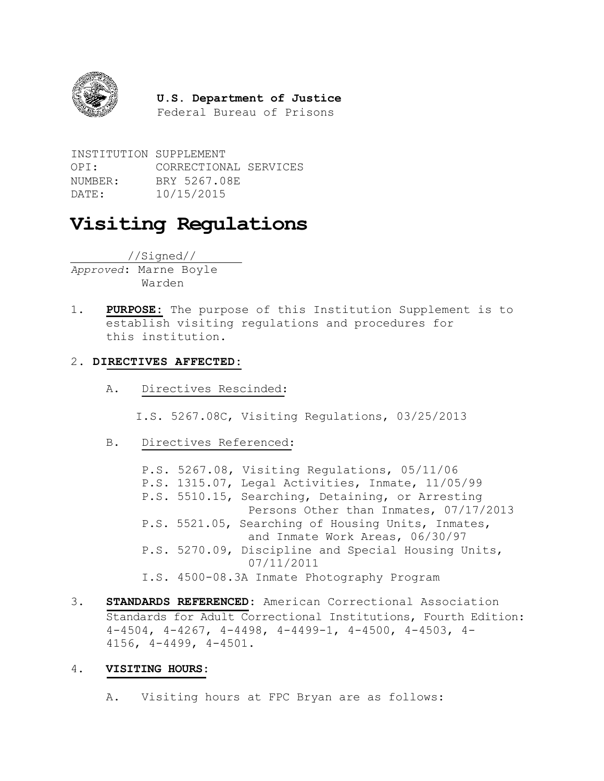

#### **U.S. Department of Justice**

Federal Bureau of Prisons

INSTITUTION SUPPLEMENT OPI: CORRECTIONAL SERVICES NUMBER: BRY 5267.08E DATE: 10/15/2015

# **Visiting Regulations**

//Signed//

*Approved*: Marne Boyle Warden

1. **PURPOSE:** The purpose of this Institution Supplement is to establish visiting regulations and procedures for this institution.

#### 2. **DIRECTIVES AFFECTED:**

A. Directives Rescinded:

I.S. 5267.08C, Visiting Regulations, 03/25/2013

B. Directives Referenced:

P.S. 5267.08, Visiting Regulations, 05/11/06 P.S. 1315.07, Legal Activities, Inmate, 11/05/99 P.S. 5510.15, Searching, Detaining, or Arresting Persons Other than Inmates, 07/17/2013 P.S. 5521.05, Searching of Housing Units, Inmates, and Inmate Work Areas, 06/30/97 P.S. 5270.09, Discipline and Special Housing Units, 07/11/2011 I.S. 4500-08.3A Inmate Photography Program

3. **STANDARDS REFERENCED:** American Correctional Association Standards for Adult Correctional Institutions, Fourth Edition: 4-4504, 4-4267, 4-4498, 4-4499-1, 4-4500, 4-4503, 4- 4156, 4-4499, 4-4501.

#### 4. **VISITING HOURS:**

A. Visiting hours at FPC Bryan are as follows: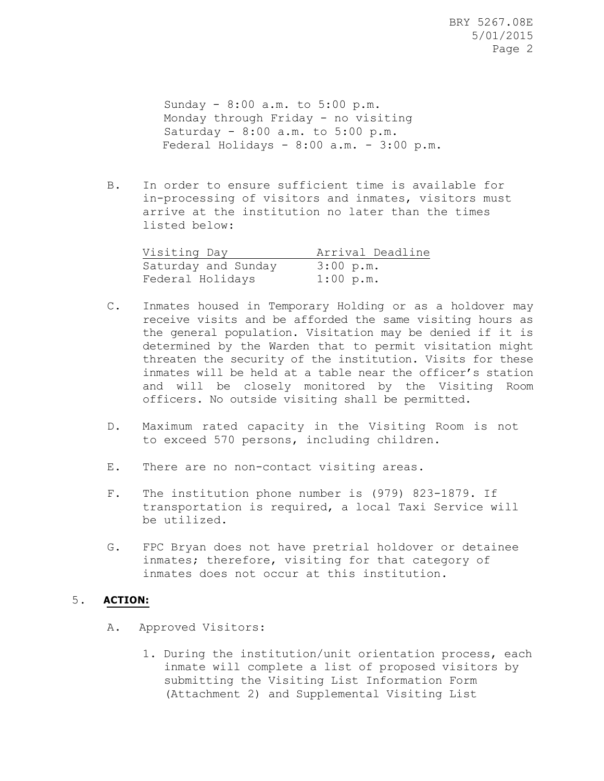Sunday - 8:00 a.m. to 5:00 p.m. Monday through Friday - no visiting Saturday - 8:00 a.m. to 5:00 p.m. Federal Holidays -  $8:00$  a.m. -  $3:00$  p.m.

B. In order to ensure sufficient time is available for in-processing of visitors and inmates, visitors must arrive at the institution no later than the times listed below:

| Visiting Day        | Arrival Deadline |
|---------------------|------------------|
| Saturday and Sunday | 3:00 p.m.        |
| Federal Holidays    | $1:00$ p.m.      |

- C. Inmates housed in Temporary Holding or as a holdover may receive visits and be afforded the same visiting hours as the general population. Visitation may be denied if it is determined by the Warden that to permit visitation might threaten the security of the institution. Visits for these inmates will be held at a table near the officer's station and will be closely monitored by the Visiting Room officers. No outside visiting shall be permitted.
- D. Maximum rated capacity in the Visiting Room is not to exceed 570 persons, including children.
- E. There are no non-contact visiting areas.
- F. The institution phone number is (979) 823-1879. If transportation is required, a local Taxi Service will be utilized.
- G. FPC Bryan does not have pretrial holdover or detainee inmates; therefore, visiting for that category of inmates does not occur at this institution.

#### 5. **ACTION:**

- A. Approved Visitors:
	- 1. During the institution/unit orientation process, each inmate will complete a list of proposed visitors by submitting the Visiting List Information Form (Attachment 2) and Supplemental Visiting List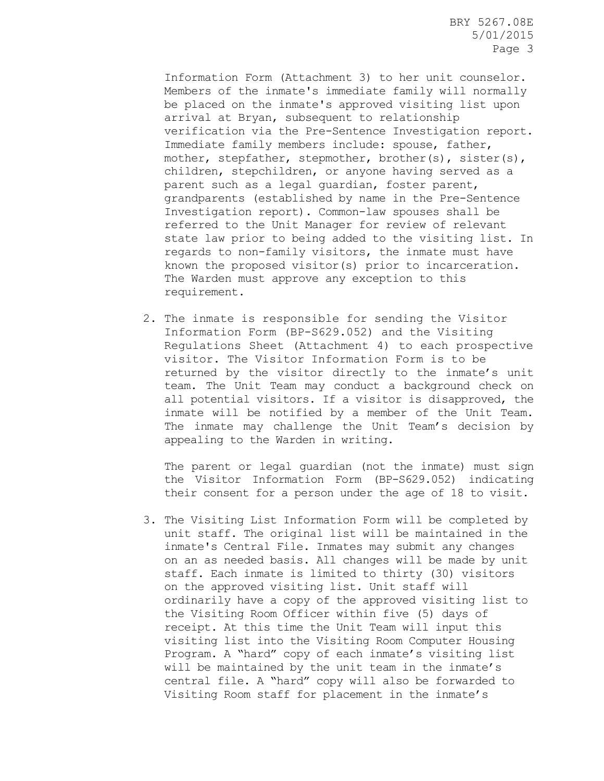Information Form (Attachment 3) to her unit counselor. Members of the inmate's immediate family will normally be placed on the inmate's approved visiting list upon arrival at Bryan, subsequent to relationship verification via the Pre-Sentence Investigation report. Immediate family members include: spouse, father, mother, stepfather, stepmother, brother(s), sister(s), children, stepchildren, or anyone having served as a parent such as a legal guardian, foster parent, grandparents (established by name in the Pre-Sentence Investigation report). Common-law spouses shall be referred to the Unit Manager for review of relevant state law prior to being added to the visiting list. In regards to non-family visitors, the inmate must have known the proposed visitor(s) prior to incarceration. The Warden must approve any exception to this requirement.

2. The inmate is responsible for sending the Visitor Information Form (BP-S629.052) and the Visiting Regulations Sheet (Attachment 4) to each prospective visitor. The Visitor Information Form is to be returned by the visitor directly to the inmate's unit team. The Unit Team may conduct a background check on all potential visitors. If a visitor is disapproved, the inmate will be notified by a member of the Unit Team. The inmate may challenge the Unit Team's decision by appealing to the Warden in writing.

The parent or legal guardian (not the inmate) must sign the Visitor Information Form (BP-S629.052) indicating their consent for a person under the age of 18 to visit.

3. The Visiting List Information Form will be completed by unit staff. The original list will be maintained in the inmate's Central File. Inmates may submit any changes on an as needed basis. All changes will be made by unit staff. Each inmate is limited to thirty (30) visitors on the approved visiting list. Unit staff will ordinarily have a copy of the approved visiting list to the Visiting Room Officer within five (5) days of receipt. At this time the Unit Team will input this visiting list into the Visiting Room Computer Housing Program. A "hard" copy of each inmate's visiting list will be maintained by the unit team in the inmate's central file. A "hard" copy will also be forwarded to Visiting Room staff for placement in the inmate's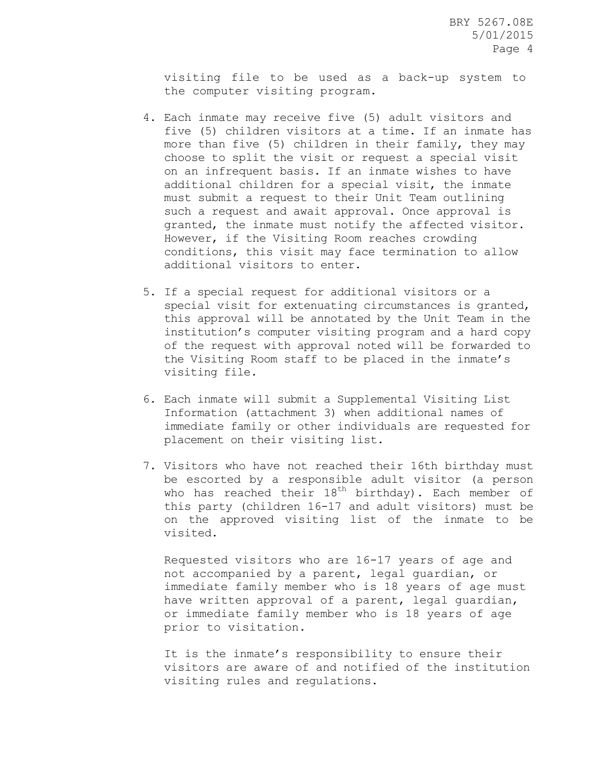visiting file to be used as a back-up system to the computer visiting program.

- 4. Each inmate may receive five (5) adult visitors and five (5) children visitors at a time. If an inmate has more than five (5) children in their family, they may choose to split the visit or request a special visit on an infrequent basis. If an inmate wishes to have additional children for a special visit, the inmate must submit a request to their Unit Team outlining such a request and await approval. Once approval is granted, the inmate must notify the affected visitor. However, if the Visiting Room reaches crowding conditions, this visit may face termination to allow additional visitors to enter.
- 5. If a special request for additional visitors or a special visit for extenuating circumstances is granted, this approval will be annotated by the Unit Team in the institution's computer visiting program and a hard copy of the request with approval noted will be forwarded to the Visiting Room staff to be placed in the inmate's visiting file.
- 6. Each inmate will submit a Supplemental Visiting List Information (attachment 3) when additional names of immediate family or other individuals are requested for placement on their visiting list.
- 7. Visitors who have not reached their 16th birthday must be escorted by a responsible adult visitor (a person who has reached their  $18^{th}$  birthday). Each member of this party (children 16-17 and adult visitors) must be on the approved visiting list of the inmate to be visited.

Requested visitors who are 16-17 years of age and not accompanied by a parent, legal guardian, or immediate family member who is 18 years of age must have written approval of a parent, legal guardian, or immediate family member who is 18 years of age prior to visitation.

It is the inmate's responsibility to ensure their visitors are aware of and notified of the institution visiting rules and regulations.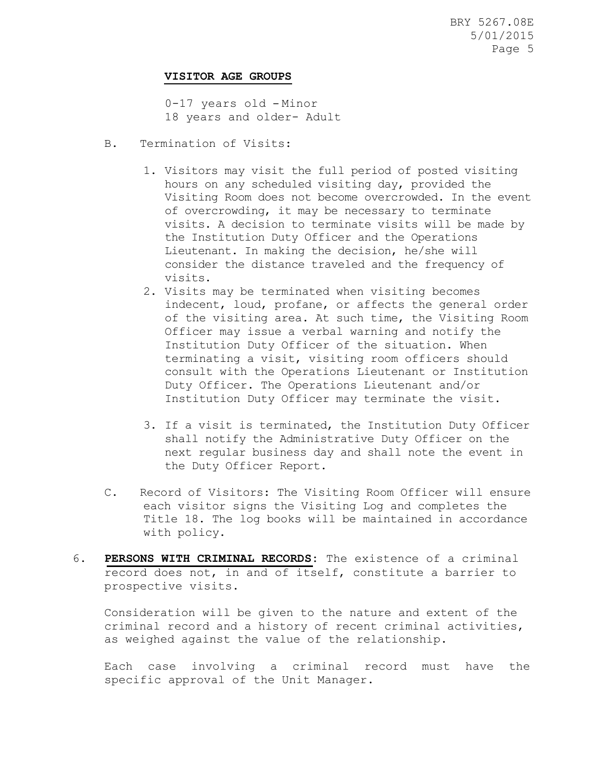#### **VISITOR AGE GROUPS**

0-17 years old – Minor 18 years and older- Adult

- B. Termination of Visits:
	- 1. Visitors may visit the full period of posted visiting hours on any scheduled visiting day, provided the Visiting Room does not become overcrowded. In the event of overcrowding, it may be necessary to terminate visits. A decision to terminate visits will be made by the Institution Duty Officer and the Operations Lieutenant. In making the decision, he/she will consider the distance traveled and the frequency of visits.
	- 2. Visits may be terminated when visiting becomes indecent, loud, profane, or affects the general order of the visiting area. At such time, the Visiting Room Officer may issue a verbal warning and notify the Institution Duty Officer of the situation. When terminating a visit, visiting room officers should consult with the Operations Lieutenant or Institution Duty Officer. The Operations Lieutenant and/or Institution Duty Officer may terminate the visit.
	- 3. If a visit is terminated, the Institution Duty Officer shall notify the Administrative Duty Officer on the next regular business day and shall note the event in the Duty Officer Report.
- C. Record of Visitors: The Visiting Room Officer will ensure each visitor signs the Visiting Log and completes the Title 18. The log books will be maintained in accordance with policy.
- 6. **PERSONS WITH CRIMINAL RECORDS:** The existence of a criminal record does not, in and of itself, constitute a barrier to prospective visits.

Consideration will be given to the nature and extent of the criminal record and a history of recent criminal activities, as weighed against the value of the relationship.

Each case involving a criminal record must have the specific approval of the Unit Manager.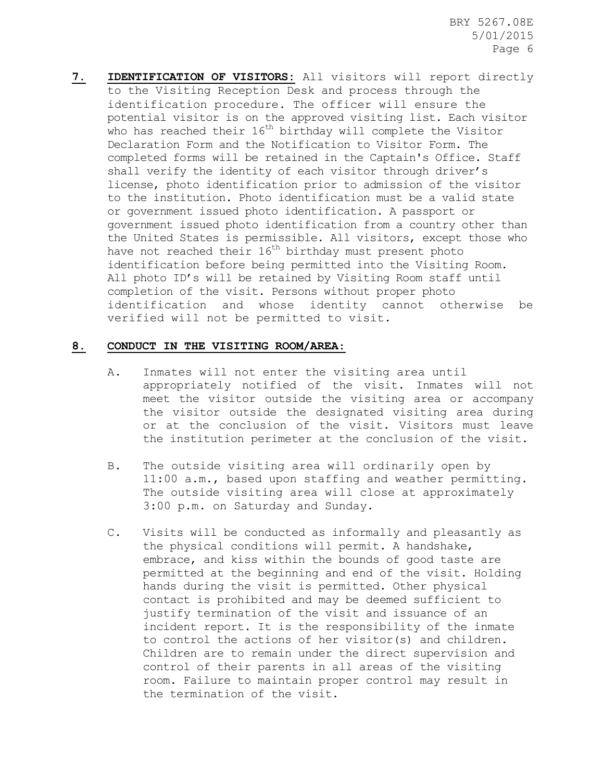**7. IDENTIFICATION OF VISITORS:** All visitors will report directly to the Visiting Reception Desk and process through the identification procedure. The officer will ensure the potential visitor is on the approved visiting list. Each visitor who has reached their 16<sup>th</sup> birthday will complete the Visitor Declaration Form and the Notification to Visitor Form. The completed forms will be retained in the Captain's Office. Staff shall verify the identity of each visitor through driver's license, photo identification prior to admission of the visitor to the institution. Photo identification must be a valid state or government issued photo identification. A passport or government issued photo identification from a country other than the United States is permissible. All visitors, except those who have not reached their  $16<sup>th</sup>$  birthday must present photo identification before being permitted into the Visiting Room. All photo ID's will be retained by Visiting Room staff until completion of the visit. Persons without proper photo identification and whose identity cannot otherwise be verified will not be permitted to visit.

#### **8. CONDUCT IN THE VISITING ROOM/AREA**:

- A. Inmates will not enter the visiting area until appropriately notified of the visit. Inmates will not meet the visitor outside the visiting area or accompany the visitor outside the designated visiting area during or at the conclusion of the visit. Visitors must leave the institution perimeter at the conclusion of the visit.
- B. The outside visiting area will ordinarily open by 11:00 a.m., based upon staffing and weather permitting. The outside visiting area will close at approximately 3:00 p.m. on Saturday and Sunday.
- C. Visits will be conducted as informally and pleasantly as the physical conditions will permit. A handshake, embrace, and kiss within the bounds of good taste are permitted at the beginning and end of the visit. Holding hands during the visit is permitted. Other physical contact is prohibited and may be deemed sufficient to justify termination of the visit and issuance of an incident report. It is the responsibility of the inmate to control the actions of her visitor(s) and children. Children are to remain under the direct supervision and control of their parents in all areas of the visiting room. Failure to maintain proper control may result in the termination of the visit.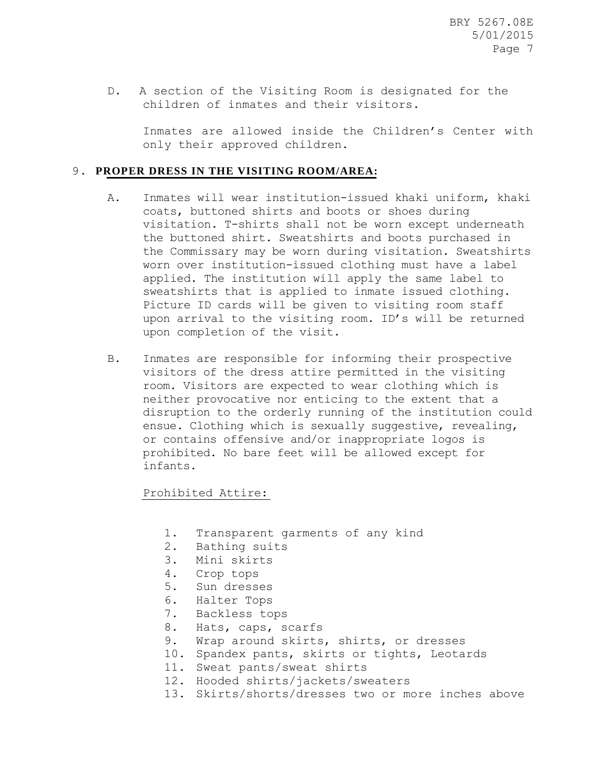D. A section of the Visiting Room is designated for the children of inmates and their visitors.

Inmates are allowed inside the Children's Center with only their approved children.

#### 9. **PROPER DRESS IN THE VISITING ROOM/AREA:**

- A. Inmates will wear institution-issued khaki uniform, khaki coats, buttoned shirts and boots or shoes during visitation. T-shirts shall not be worn except underneath the buttoned shirt. Sweatshirts and boots purchased in the Commissary may be worn during visitation. Sweatshirts worn over institution-issued clothing must have a label applied. The institution will apply the same label to sweatshirts that is applied to inmate issued clothing. Picture ID cards will be given to visiting room staff upon arrival to the visiting room. ID's will be returned upon completion of the visit.
- B. Inmates are responsible for informing their prospective visitors of the dress attire permitted in the visiting room. Visitors are expected to wear clothing which is neither provocative nor enticing to the extent that a disruption to the orderly running of the institution could ensue. Clothing which is sexually suggestive, revealing, or contains offensive and/or inappropriate logos is prohibited. No bare feet will be allowed except for infants.

Prohibited Attire:

- 1. Transparent garments of any kind
- 2. Bathing suits
- 3. Mini skirts
- 4. Crop tops
- 5. Sun dresses
- 6. Halter Tops
- 7. Backless tops
- 8. Hats, caps, scarfs
- 9. Wrap around skirts, shirts, or dresses
- 10. Spandex pants, skirts or tights, Leotards
- 11. Sweat pants/sweat shirts
- 12. Hooded shirts/jackets/sweaters
- 13. Skirts/shorts/dresses two or more inches above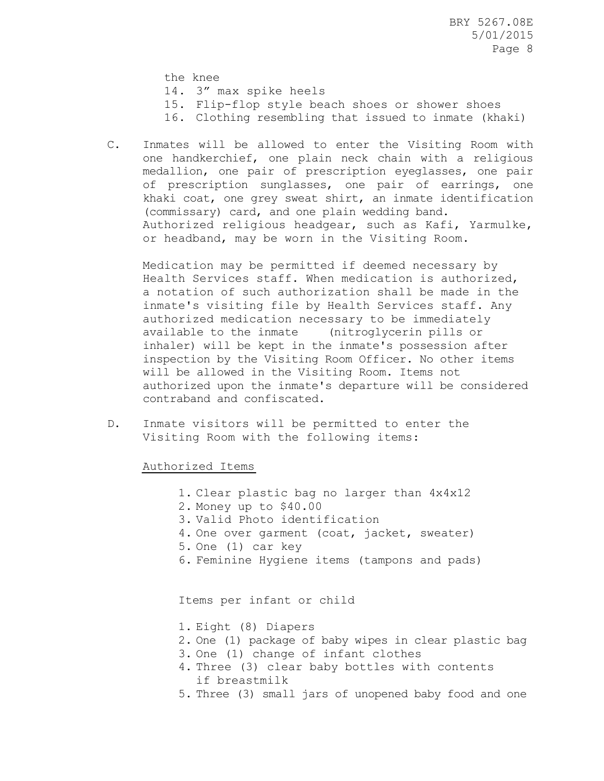the knee

- 14. 3" max spike heels
- 15. Flip-flop style beach shoes or shower shoes
- 16. Clothing resembling that issued to inmate (khaki)
- C. Inmates will be allowed to enter the Visiting Room with one handkerchief, one plain neck chain with a religious medallion, one pair of prescription eyeglasses, one pair of prescription sunglasses, one pair of earrings, one khaki coat, one grey sweat shirt, an inmate identification (commissary) card, and one plain wedding band. Authorized religious headgear, such as Kafi, Yarmulke, or headband, may be worn in the Visiting Room.

Medication may be permitted if deemed necessary by Health Services staff. When medication is authorized, a notation of such authorization shall be made in the inmate's visiting file by Health Services staff. Any authorized medication necessary to be immediately available to the inmate (nitroglycerin pills or inhaler) will be kept in the inmate's possession after inspection by the Visiting Room Officer. No other items will be allowed in the Visiting Room. Items not authorized upon the inmate's departure will be considered contraband and confiscated.

D. Inmate visitors will be permitted to enter the Visiting Room with the following items:

Authorized Items

- 1. Clear plastic bag no larger than 4x4x12
- 2. Money up to \$40.00
- 3. Valid Photo identification
- 4. One over garment (coat, jacket, sweater)
- 5. One (1) car key
- 6. Feminine Hygiene items (tampons and pads)

Items per infant or child

- 1. Eight (8) Diapers
- 2. One (1) package of baby wipes in clear plastic bag
- 3. One (1) change of infant clothes
- 4. Three (3) clear baby bottles with contents if breastmilk
- 5. Three (3) small jars of unopened baby food and one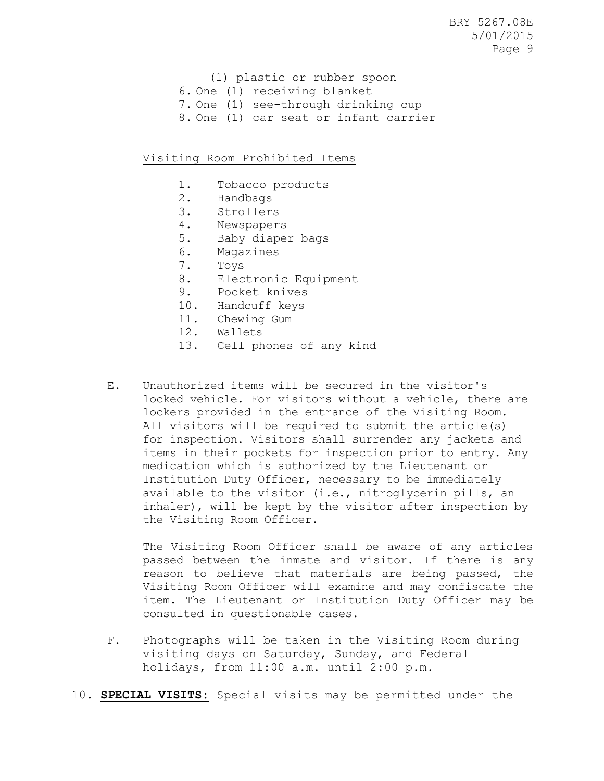- (1) plastic or rubber spoon
- 6. One (1) receiving blanket
- 7. One (1) see-through drinking cup
- 8. One (1) car seat or infant carrier

#### Visiting Room Prohibited Items

- 1. Tobacco products
- 2. Handbags
- 3. Strollers
- 4. Newspapers
- 5. Baby diaper bags
- 6. Magazines
- 7. Toys
- 8. Electronic Equipment
- 9. Pocket knives
- 10. Handcuff keys
- 11. Chewing Gum
- 12. Wallets
- 13. Cell phones of any kind
- E. Unauthorized items will be secured in the visitor's locked vehicle. For visitors without a vehicle, there are lockers provided in the entrance of the Visiting Room. All visitors will be required to submit the article(s) for inspection. Visitors shall surrender any jackets and items in their pockets for inspection prior to entry. Any medication which is authorized by the Lieutenant or Institution Duty Officer, necessary to be immediately available to the visitor (i.e., nitroglycerin pills, an inhaler), will be kept by the visitor after inspection by the Visiting Room Officer.

The Visiting Room Officer shall be aware of any articles passed between the inmate and visitor. If there is any reason to believe that materials are being passed, the Visiting Room Officer will examine and may confiscate the item. The Lieutenant or Institution Duty Officer may be consulted in questionable cases.

- F. Photographs will be taken in the Visiting Room during visiting days on Saturday, Sunday, and Federal holidays, from 11:00 a.m. until 2:00 p.m.
- 10. **SPECIAL VISITS:** Special visits may be permitted under the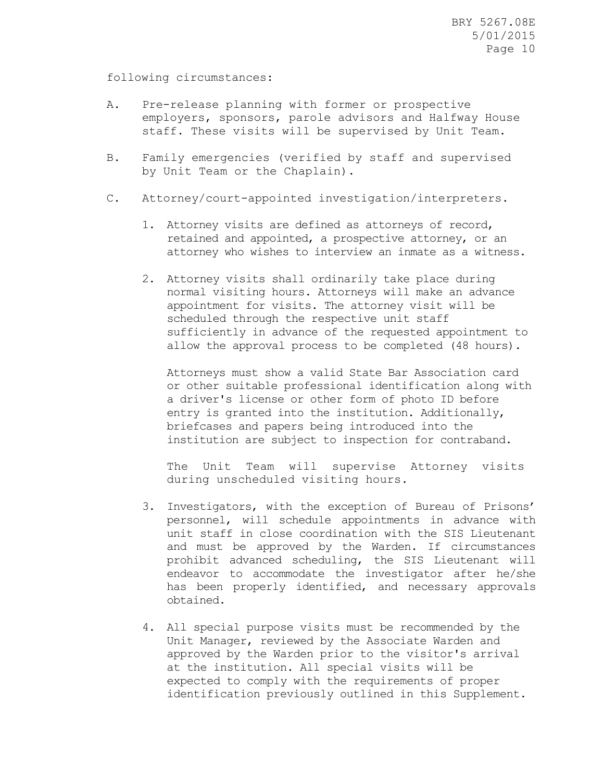following circumstances:

- A. Pre-release planning with former or prospective employers, sponsors, parole advisors and Halfway House staff. These visits will be supervised by Unit Team.
- B. Family emergencies (verified by staff and supervised by Unit Team or the Chaplain).
- C. Attorney/court-appointed investigation/interpreters.
	- 1. Attorney visits are defined as attorneys of record, retained and appointed, a prospective attorney, or an attorney who wishes to interview an inmate as a witness.
	- 2. Attorney visits shall ordinarily take place during normal visiting hours. Attorneys will make an advance appointment for visits. The attorney visit will be scheduled through the respective unit staff sufficiently in advance of the requested appointment to allow the approval process to be completed (48 hours).

Attorneys must show a valid State Bar Association card or other suitable professional identification along with a driver's license or other form of photo ID before entry is granted into the institution. Additionally, briefcases and papers being introduced into the institution are subject to inspection for contraband.

The Unit Team will supervise Attorney visits during unscheduled visiting hours.

- 3. Investigators, with the exception of Bureau of Prisons' personnel, will schedule appointments in advance with unit staff in close coordination with the SIS Lieutenant and must be approved by the Warden. If circumstances prohibit advanced scheduling, the SIS Lieutenant will endeavor to accommodate the investigator after he/she has been properly identified, and necessary approvals obtained.
- 4. All special purpose visits must be recommended by the Unit Manager, reviewed by the Associate Warden and approved by the Warden prior to the visitor's arrival at the institution. All special visits will be expected to comply with the requirements of proper identification previously outlined in this Supplement.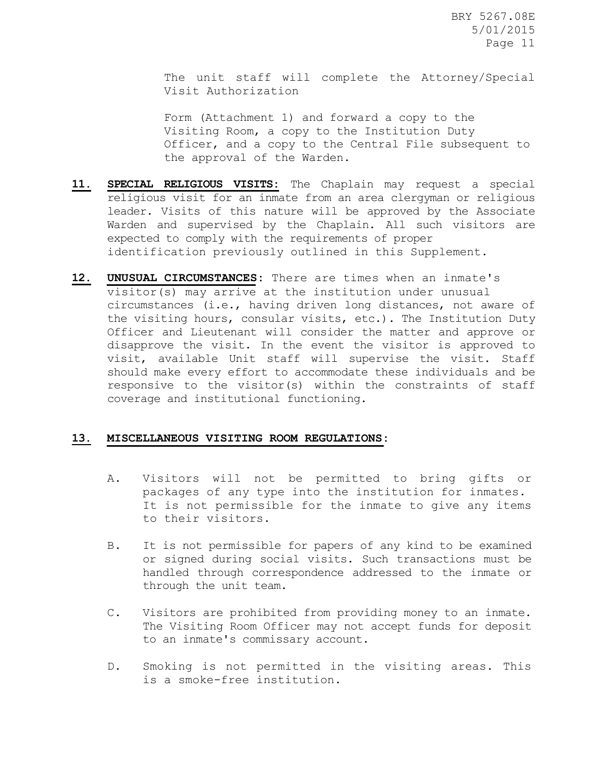The unit staff will complete the Attorney/Special Visit Authorization

Form (Attachment 1) and forward a copy to the Visiting Room, a copy to the Institution Duty Officer, and a copy to the Central File subsequent to the approval of the Warden.

- **11. SPECIAL RELIGIOUS VISITS:** The Chaplain may request a special religious visit for an inmate from an area clergyman or religious leader. Visits of this nature will be approved by the Associate Warden and supervised by the Chaplain. All such visitors are expected to comply with the requirements of proper identification previously outlined in this Supplement.
- **12. UNUSUAL CIRCUMSTANCES:** There are times when an inmate's visitor(s) may arrive at the institution under unusual circumstances (i.e., having driven long distances, not aware of the visiting hours, consular visits, etc.). The Institution Duty Officer and Lieutenant will consider the matter and approve or disapprove the visit. In the event the visitor is approved to visit, available Unit staff will supervise the visit. Staff should make every effort to accommodate these individuals and be responsive to the visitor(s) within the constraints of staff coverage and institutional functioning.

#### **13. MISCELLANEOUS VISITING ROOM REGULATIONS:**

- A. Visitors will not be permitted to bring gifts or packages of any type into the institution for inmates. It is not permissible for the inmate to give any items to their visitors.
- B. It is not permissible for papers of any kind to be examined or signed during social visits. Such transactions must be handled through correspondence addressed to the inmate or through the unit team.
- C. Visitors are prohibited from providing money to an inmate. The Visiting Room Officer may not accept funds for deposit to an inmate's commissary account.
- D. Smoking is not permitted in the visiting areas. This is a smoke-free institution.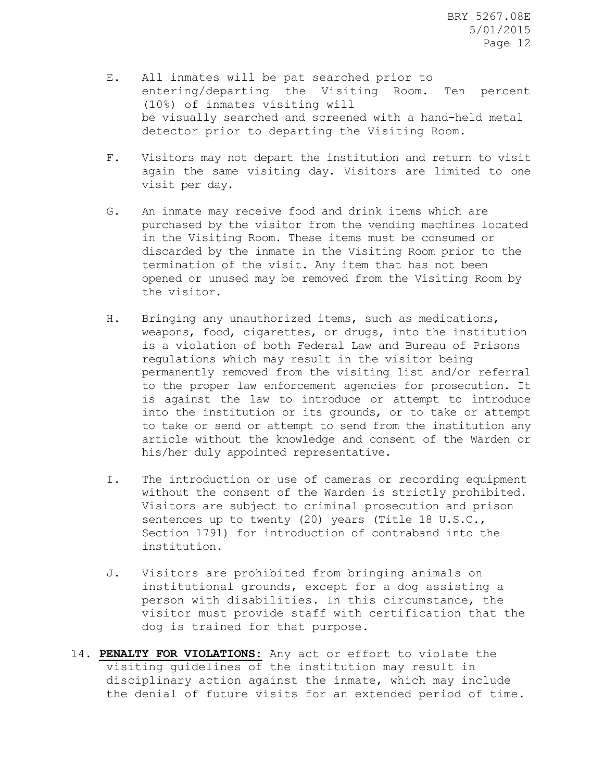- E. All inmates will be pat searched prior to entering/departing the Visiting Room. Ten percent (10%) of inmates visiting will be visually searched and screened with a hand-held metal detector prior to departing the Visiting Room.
- F. Visitors may not depart the institution and return to visit again the same visiting day. Visitors are limited to one visit per day.
- G. An inmate may receive food and drink items which are purchased by the visitor from the vending machines located in the Visiting Room. These items must be consumed or discarded by the inmate in the Visiting Room prior to the termination of the visit. Any item that has not been opened or unused may be removed from the Visiting Room by the visitor.
- H. Bringing any unauthorized items, such as medications, weapons, food, cigarettes, or drugs, into the institution is a violation of both Federal Law and Bureau of Prisons regulations which may result in the visitor being permanently removed from the visiting list and/or referral to the proper law enforcement agencies for prosecution. It is against the law to introduce or attempt to introduce into the institution or its grounds, or to take or attempt to take or send or attempt to send from the institution any article without the knowledge and consent of the Warden or his/her duly appointed representative.
- I. The introduction or use of cameras or recording equipment without the consent of the Warden is strictly prohibited. Visitors are subject to criminal prosecution and prison sentences up to twenty (20) years (Title 18 U.S.C., Section 1791) for introduction of contraband into the institution.
- J. Visitors are prohibited from bringing animals on institutional grounds, except for a dog assisting a person with disabilities. In this circumstance, the visitor must provide staff with certification that the dog is trained for that purpose.
- 14. **PENALTY FOR VIOLATIONS:** Any act or effort to violate the visiting guidelines of the institution may result in disciplinary action against the inmate, which may include the denial of future visits for an extended period of time.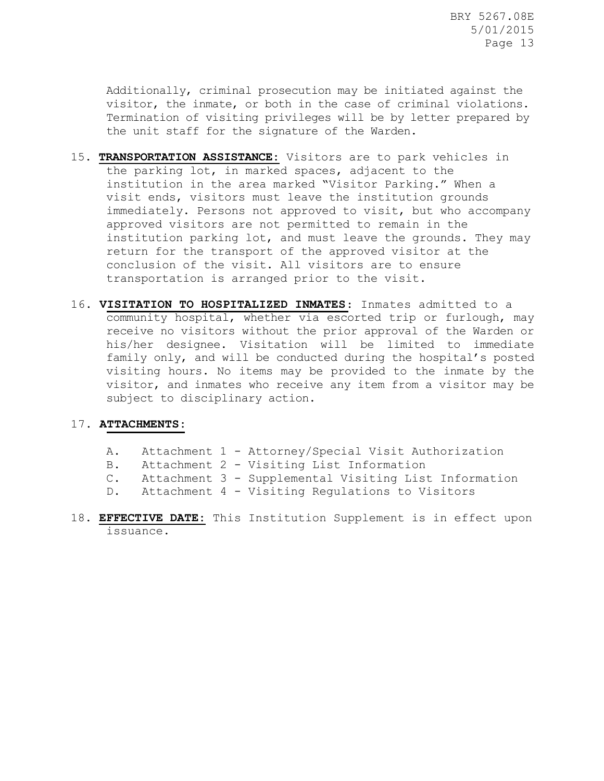Additionally, criminal prosecution may be initiated against the visitor, the inmate, or both in the case of criminal violations. Termination of visiting privileges will be by letter prepared by the unit staff for the signature of the Warden.

- 15. **TRANSPORTATION ASSISTANCE:** Visitors are to park vehicles in the parking lot, in marked spaces, adjacent to the institution in the area marked "Visitor Parking." When a visit ends, visitors must leave the institution grounds immediately. Persons not approved to visit, but who accompany approved visitors are not permitted to remain in the institution parking lot, and must leave the grounds. They may return for the transport of the approved visitor at the conclusion of the visit. All visitors are to ensure transportation is arranged prior to the visit.
- 16. **VISITATION TO HOSPITALIZED INMATES**: Inmates admitted to a community hospital, whether via escorted trip or furlough, may receive no visitors without the prior approval of the Warden or his/her designee. Visitation will be limited to immediate family only, and will be conducted during the hospital's posted visiting hours. No items may be provided to the inmate by the visitor, and inmates who receive any item from a visitor may be subject to disciplinary action.

#### 17. **ATTACHMENTS:**

| Α. |  |  |  |  |  |  | Attachment 1 - Attorney/Special Visit Authorization |
|----|--|--|--|--|--|--|-----------------------------------------------------|
|----|--|--|--|--|--|--|-----------------------------------------------------|

- B. Attachment 2 Visiting List Information
- C. Attachment 3 Supplemental Visiting List Information
- D. Attachment 4 Visiting Regulations to Visitors
- 18. **EFFECTIVE DATE:** This Institution Supplement is in effect upon issuance.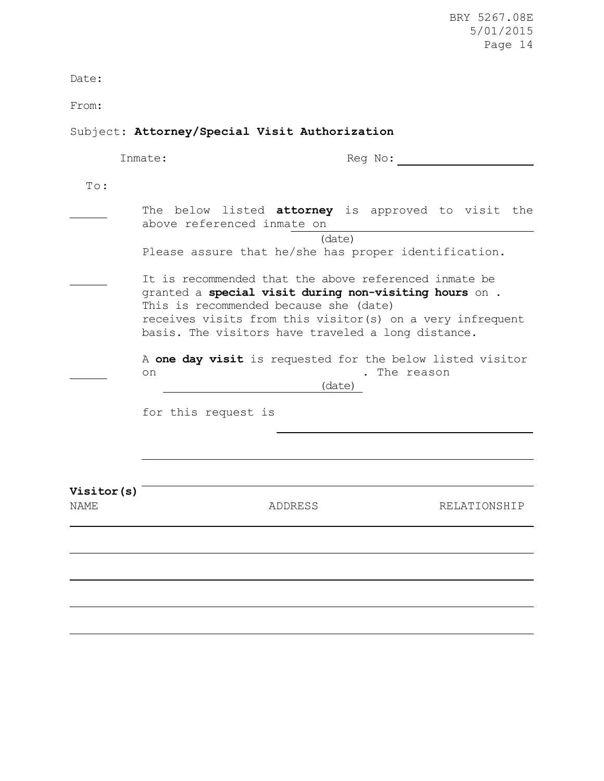Date:

From:

## Subject: **Attorney/Special Visit Authorization**

|                                  | Inmate:                                | Reg No:                                                                                                                                                                                                                           |  |
|----------------------------------|----------------------------------------|-----------------------------------------------------------------------------------------------------------------------------------------------------------------------------------------------------------------------------------|--|
| To:                              |                                        |                                                                                                                                                                                                                                   |  |
|                                  | above referenced inmate on             | The below listed <b>attorney</b> is approved to visit the                                                                                                                                                                         |  |
|                                  |                                        | (data)<br>Please assure that he/she has proper identification.                                                                                                                                                                    |  |
|                                  | This is recommended because she (date) | It is recommended that the above referenced inmate be<br>granted a special visit during non-visiting hours on.<br>receives visits from this visitor(s) on a very infrequent<br>basis. The visitors have traveled a long distance. |  |
|                                  | on                                     | A one day visit is requested for the below listed visitor<br>. The reason<br>(date)                                                                                                                                               |  |
|                                  | for this request is                    |                                                                                                                                                                                                                                   |  |
|                                  |                                        |                                                                                                                                                                                                                                   |  |
| <b>Visitor(s)</b><br><b>NAME</b> | ADDRESS                                | RELATIONSHIP                                                                                                                                                                                                                      |  |
|                                  |                                        |                                                                                                                                                                                                                                   |  |
|                                  |                                        |                                                                                                                                                                                                                                   |  |
|                                  |                                        |                                                                                                                                                                                                                                   |  |
|                                  |                                        |                                                                                                                                                                                                                                   |  |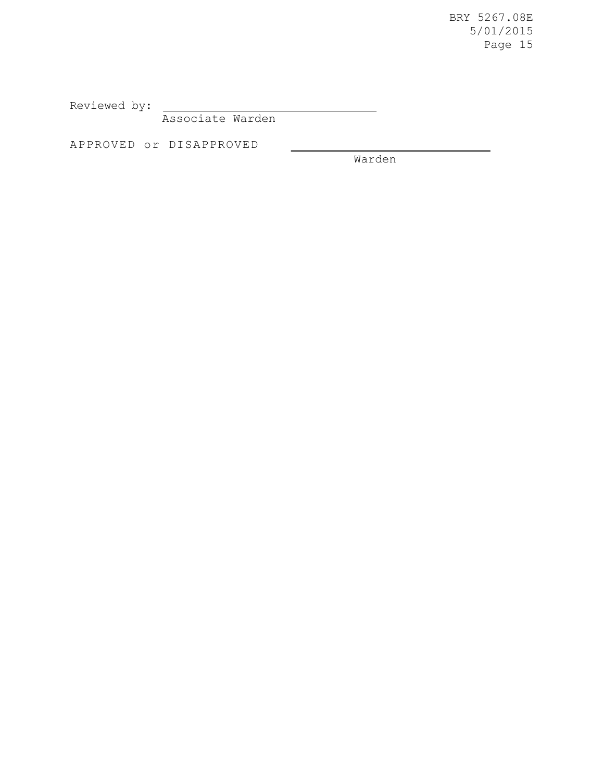Reviewed by:

Associate Warden

APPROVED or DISAPPROVED

Warden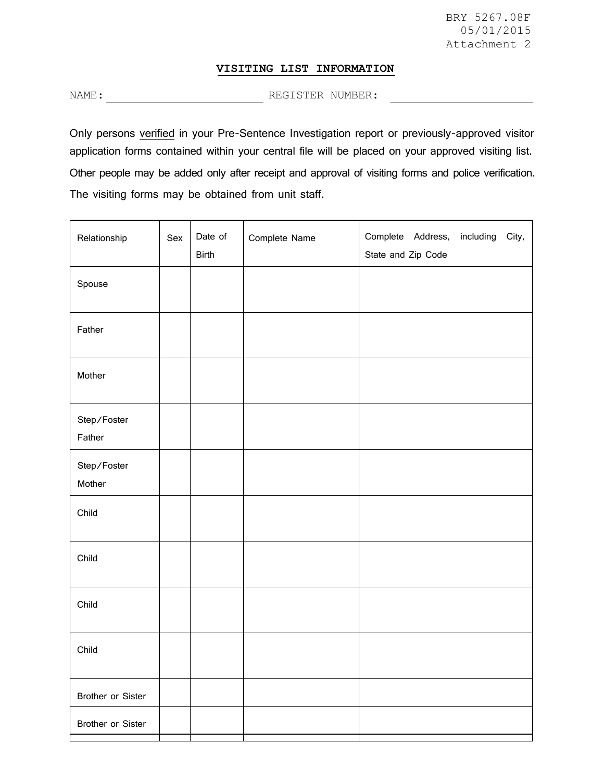#### **VISITING LIST INFORMATION**

NAME: REGISTER NUMBER:

Only persons verified in your Pre-Sentence Investigation report or previously-approved visitor application forms contained within your central file will be placed on your approved visiting list. Other people may be added only after receipt and approval of visiting forms and police verification. The visiting forms may be obtained from unit staff.

| Relationship          | Sex | Date of<br><b>Birth</b> | Complete Name | Complete Address,<br>including<br>City,<br>State and Zip Code |  |
|-----------------------|-----|-------------------------|---------------|---------------------------------------------------------------|--|
| Spouse                |     |                         |               |                                                               |  |
| Father                |     |                         |               |                                                               |  |
| Mother                |     |                         |               |                                                               |  |
| Step/Foster<br>Father |     |                         |               |                                                               |  |
| Step/Foster<br>Mother |     |                         |               |                                                               |  |
| Child                 |     |                         |               |                                                               |  |
| Child                 |     |                         |               |                                                               |  |
| Child                 |     |                         |               |                                                               |  |
| Child                 |     |                         |               |                                                               |  |
| Brother or Sister     |     |                         |               |                                                               |  |
| Brother or Sister     |     |                         |               |                                                               |  |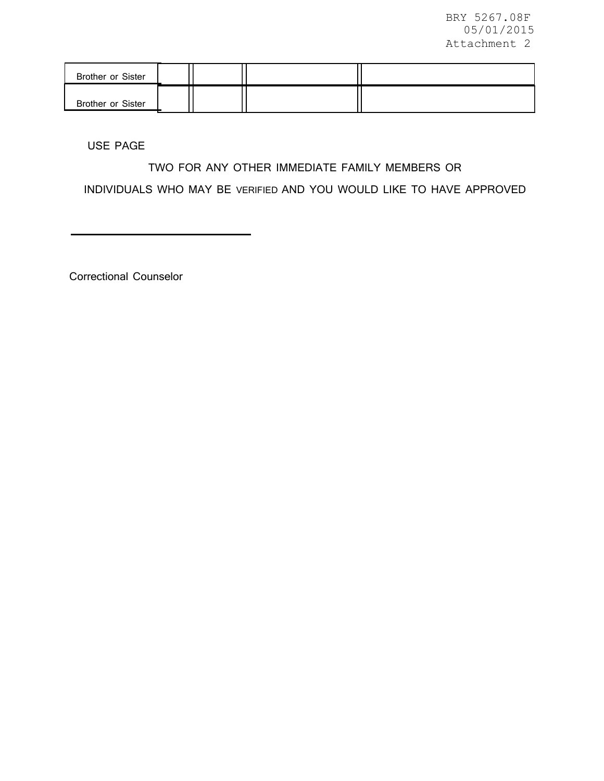| <b>Brother or Sister</b> |  |  |
|--------------------------|--|--|
| <b>Brother or Sister</b> |  |  |

USE PAGE

## TWO FOR ANY OTHER IMMEDIATE FAMILY MEMBERS OR

INDIVIDUALS WHO MAY BE VERIFIED AND YOU WOULD LIKE TO HAVE APPROVED

Correctional Counselor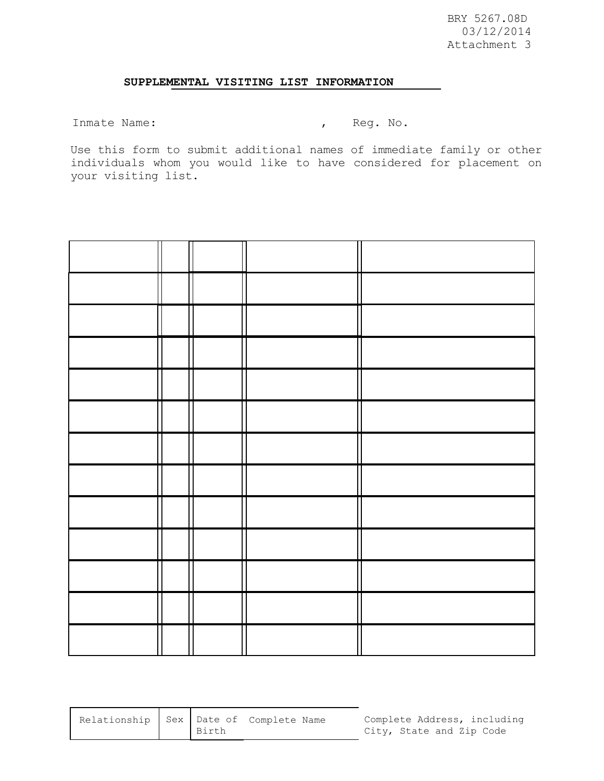### **SUPPLEMENTAL VISITING LIST INFORMATION**

Inmate Name:  $\qquad \qquad$  , Reg. No.

Use this form to submit additional names of immediate family or other individuals whom you would like to have considered for placement on your visiting list.

|  |  | П |
|--|--|---|
|  |  |   |
|  |  |   |
|  |  |   |
|  |  |   |
|  |  |   |
|  |  |   |
|  |  |   |
|  |  |   |
|  |  |   |
|  |  |   |

| Relationship Sex Date of Complete Name<br>Complete Address, including<br>City, State and Zip Code<br>Birth |  |
|------------------------------------------------------------------------------------------------------------|--|
|------------------------------------------------------------------------------------------------------------|--|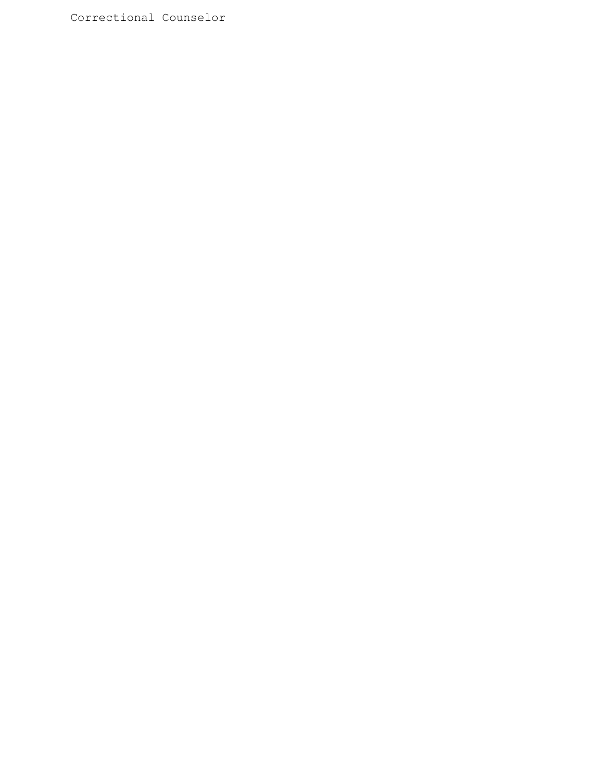Correctional Counselor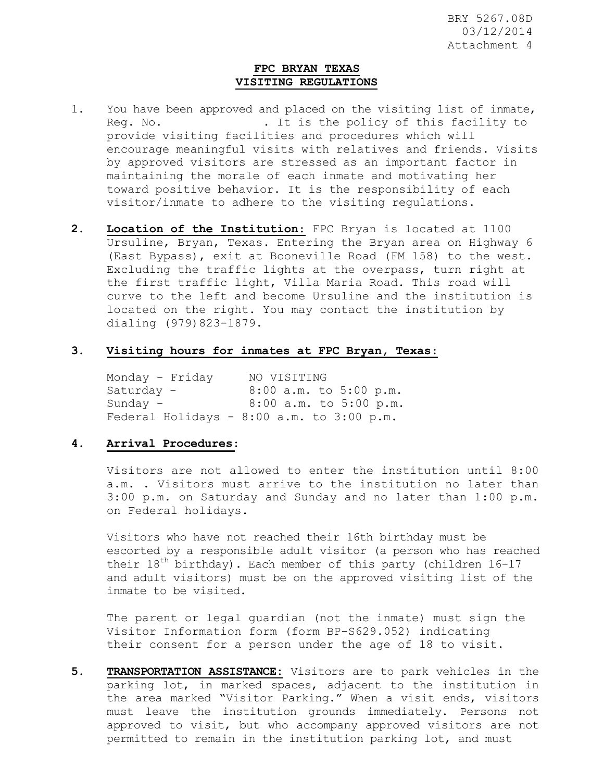#### **FPC BRYAN TEXAS VISITING REGULATIONS**

- 1. You have been approved and placed on the visiting list of inmate, Req. No.  $\qquad \qquad$  . It is the policy of this facility to provide visiting facilities and procedures which will encourage meaningful visits with relatives and friends. Visits by approved visitors are stressed as an important factor in maintaining the morale of each inmate and motivating her toward positive behavior. It is the responsibility of each visitor/inmate to adhere to the visiting regulations.
- **2. Location of the Institution**: FPC Bryan is located at 1100 Ursuline, Bryan, Texas. Entering the Bryan area on Highway 6 (East Bypass), exit at Booneville Road (FM 158) to the west. Excluding the traffic lights at the overpass, turn right at the first traffic light, Villa Maria Road. This road will curve to the left and become Ursuline and the institution is located on the right. You may contact the institution by dialing (979)823-1879.

#### **3. Visiting hours for inmates at FPC Bryan, Texas**:

Monday - Friday NO VISITING Saturday - 8:00 a.m. to 5:00 p.m. Sunday - 8:00 a.m. to 5:00 p.m. Federal Holidays - 8:00 a.m. to 3:00 p.m.

#### **4. Arrival Procedures**:

Visitors are not allowed to enter the institution until 8:00 a.m. . Visitors must arrive to the institution no later than 3:00 p.m. on Saturday and Sunday and no later than 1:00 p.m. on Federal holidays.

Visitors who have not reached their 16th birthday must be escorted by a responsible adult visitor (a person who has reached their  $18<sup>th</sup>$  birthday). Each member of this party (children 16-17 and adult visitors) must be on the approved visiting list of the inmate to be visited.

The parent or legal guardian (not the inmate) must sign the Visitor Information form (form BP-S629.052) indicating their consent for a person under the age of 18 to visit.

**5. TRANSPORTATION ASSISTANCE:** Visitors are to park vehicles in the parking lot, in marked spaces, adjacent to the institution in the area marked "Visitor Parking." When a visit ends, visitors must leave the institution grounds immediately. Persons not approved to visit, but who accompany approved visitors are not permitted to remain in the institution parking lot, and must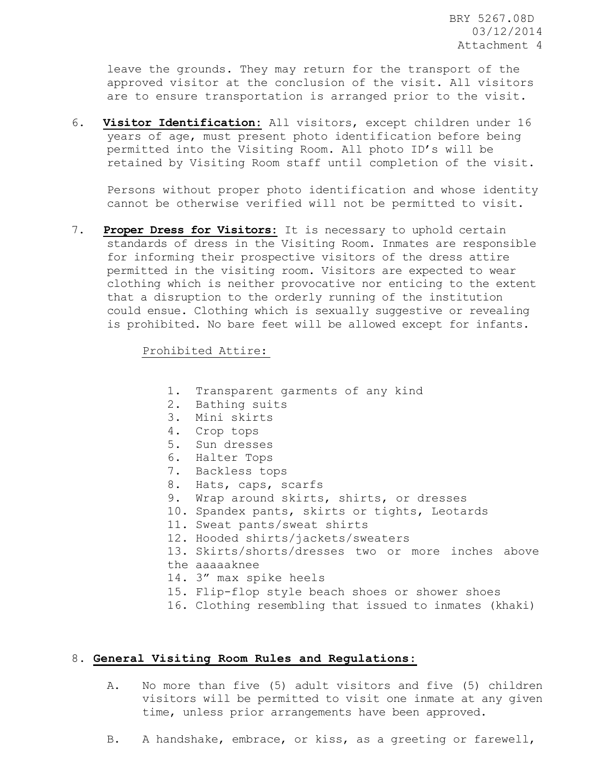leave the grounds. They may return for the transport of the approved visitor at the conclusion of the visit. All visitors are to ensure transportation is arranged prior to the visit.

6. **Visitor Identification:** All visitors, except children under 16 years of age, must present photo identification before being permitted into the Visiting Room. All photo ID's will be retained by Visiting Room staff until completion of the visit.

Persons without proper photo identification and whose identity cannot be otherwise verified will not be permitted to visit.

7. **Proper Dress for Visitors:** It is necessary to uphold certain standards of dress in the Visiting Room. Inmates are responsible for informing their prospective visitors of the dress attire permitted in the visiting room. Visitors are expected to wear clothing which is neither provocative nor enticing to the extent that a disruption to the orderly running of the institution could ensue. Clothing which is sexually suggestive or revealing is prohibited. No bare feet will be allowed except for infants.

Prohibited Attire:

- 1. Transparent garments of any kind
- 2. Bathing suits
- 3. Mini skirts
- 4. Crop tops
- 5. Sun dresses
- 6. Halter Tops
- 7. Backless tops
- 8. Hats, caps, scarfs
- 9. Wrap around skirts, shirts, or dresses
- 10. Spandex pants, skirts or tights, Leotards
- 11. Sweat pants/sweat shirts
- 12. Hooded shirts/jackets/sweaters
- 13. Skirts/shorts/dresses two or more inches above the aaaaaknee
- 14. 3" max spike heels
- 15. Flip-flop style beach shoes or shower shoes
- 16. Clothing resembling that issued to inmates (khaki)

#### 8. **General Visiting Room Rules and Regulations:**

- A. No more than five (5) adult visitors and five (5) children visitors will be permitted to visit one inmate at any given time, unless prior arrangements have been approved.
- B. A handshake, embrace, or kiss, as a greeting or farewell,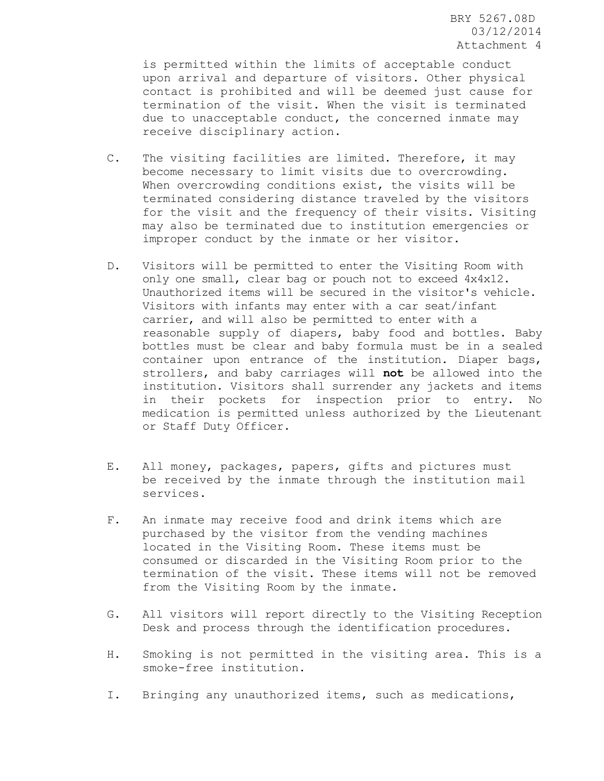is permitted within the limits of acceptable conduct upon arrival and departure of visitors. Other physical contact is prohibited and will be deemed just cause for termination of the visit. When the visit is terminated due to unacceptable conduct, the concerned inmate may receive disciplinary action.

- C. The visiting facilities are limited. Therefore, it may become necessary to limit visits due to overcrowding. When overcrowding conditions exist, the visits will be terminated considering distance traveled by the visitors for the visit and the frequency of their visits. Visiting may also be terminated due to institution emergencies or improper conduct by the inmate or her visitor.
- D. Visitors will be permitted to enter the Visiting Room with only one small, clear bag or pouch not to exceed 4x4x12. Unauthorized items will be secured in the visitor's vehicle. Visitors with infants may enter with a car seat/infant carrier, and will also be permitted to enter with a reasonable supply of diapers, baby food and bottles. Baby bottles must be clear and baby formula must be in a sealed container upon entrance of the institution. Diaper bags, strollers, and baby carriages will **not** be allowed into the institution. Visitors shall surrender any jackets and items in their pockets for inspection prior to entry. No medication is permitted unless authorized by the Lieutenant or Staff Duty Officer.
- E. All money, packages, papers, gifts and pictures must be received by the inmate through the institution mail services.
- F. An inmate may receive food and drink items which are purchased by the visitor from the vending machines located in the Visiting Room. These items must be consumed or discarded in the Visiting Room prior to the termination of the visit. These items will not be removed from the Visiting Room by the inmate.
- G. All visitors will report directly to the Visiting Reception Desk and process through the identification procedures.
- H. Smoking is not permitted in the visiting area. This is a smoke-free institution.
- I. Bringing any unauthorized items, such as medications,